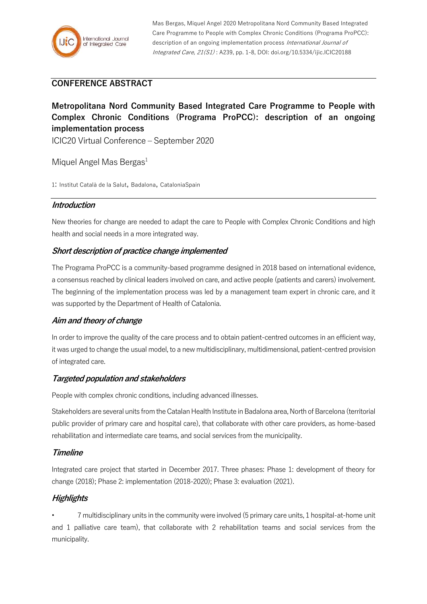

Mas Bergas, Miquel Angel 2020 Metropolitana Nord Community Based Integrated Care Programme to People with Complex Chronic Conditions (Programa ProPCC): description of an ongoing implementation process International Journal of Integrated Care, 21(S1) : A239, pp. 1-8, DOI: doi.org/10.5334/ijic.ICIC20188

## **CONFERENCE ABSTRACT**

# **Metropolitana Nord Community Based Integrated Care Programme to People with Complex Chronic Conditions (Programa ProPCC): description of an ongoing implementation process**

ICIC20 Virtual Conference – September 2020

## Miquel Angel Mas Bergas<sup>1</sup>

1: Institut Català de la Salut, Badalona, CataloniaSpain

#### **Introduction**

New theories for change are needed to adapt the care to People with Complex Chronic Conditions and high health and social needs in a more integrated way.

#### **Short description of practice change implemented**

The Programa ProPCC is a community-based programme designed in 2018 based on international evidence, a consensus reached by clinical leaders involved on care, and active people (patients and carers) involvement. The beginning of the implementation process was led by a management team expert in chronic care, and it was supported by the Department of Health of Catalonia.

## **Aim and theory of change**

In order to improve the quality of the care process and to obtain patient-centred outcomes in an efficient way, it was urged to change the usual model, to a new multidisciplinary, multidimensional, patient-centred provision of integrated care.

## **Targeted population and stakeholders**

People with complex chronic conditions, including advanced illnesses.

Stakeholders are several units from the Catalan Health Institute in Badalona area, North of Barcelona (territorial public provider of primary care and hospital care), that collaborate with other care providers, as home-based rehabilitation and intermediate care teams, and social services from the municipality.

#### **Timeline**

Integrated care project that started in December 2017. Three phases: Phase 1: development of theory for change (2018); Phase 2: implementation (2018-2020); Phase 3: evaluation (2021).

## **Highlights**

• 7 multidisciplinary units in the community were involved (5 primary care units, 1 hospital-at-home unit and 1 palliative care team), that collaborate with 2 rehabilitation teams and social services from the municipality.